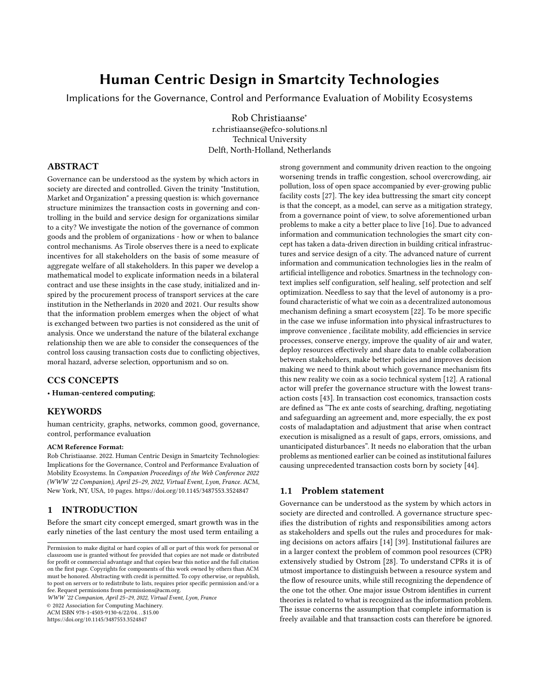# Human Centric Design in Smartcity Technologies

Implications for the Governance, Control and Performance Evaluation of Mobility Ecosystems

[Rob Christiaanse](https://orcid.org/0000-0001-6088-9882)<sup>∗</sup> r.christiaanse@efco-solutions.nl Technical University Delft, North-Holland, Netherlands

# ABSTRACT

Governance can be understood as the system by which actors in society are directed and controlled. Given the trinity "Institution, Market and Organization" a pressing question is: which governance structure minimizes the transaction costs in governing and controlling in the build and service design for organizations similar to a city? We investigate the notion of the governance of common goods and the problem of organizations - how or when to balance control mechanisms. As Tirole observes there is a need to explicate incentives for all stakeholders on the basis of some measure of aggregate welfare of all stakeholders. In this paper we develop a mathematical model to explicate information needs in a bilateral contract and use these insights in the case study, initialized and inspired by the procurement process of transport services at the care institution in the Netherlands in 2020 and 2021. Our results show that the information problem emerges when the object of what is exchanged between two parties is not considered as the unit of analysis. Once we understand the nature of the bilateral exchange relationship then we are able to consider the consequences of the control loss causing transaction costs due to conflicting objectives, moral hazard, adverse selection, opportunism and so on.

# CCS CONCEPTS

• Human-centered computing;

## **KEYWORDS**

human centricity, graphs, networks, common good, governance, control, performance evaluation

#### ACM Reference Format:

Rob Christiaanse. 2022. Human Centric Design in Smartcity Technologies: Implications for the Governance, Control and Performance Evaluation of Mobility Ecosystems. In Companion Proceedings of the Web Conference 2022 (WWW '22 Companion), April 25–29, 2022, Virtual Event, Lyon, France. ACM, New York, NY, USA, [10](#page-9-0) pages.<https://doi.org/10.1145/3487553.3524847>

## 1 INTRODUCTION

Before the smart city concept emerged, smart growth was in the early nineties of the last century the most used term entailing a

WWW '22 Companion, April 25–29, 2022, Virtual Event, Lyon, France

© 2022 Association for Computing Machinery.

ACM ISBN 978-1-4503-9130-6/22/04. . . \$15.00 <https://doi.org/10.1145/3487553.3524847>

strong government and community driven reaction to the ongoing worsening trends in traffic congestion, school overcrowding, air pollution, loss of open space accompanied by ever-growing public facility costs [\[27\]](#page-9-1). The key idea buttressing the smart city concept is that the concept, as a model, can serve as a mitigation strategy, from a governance point of view, to solve aforementioned urban problems to make a city a better place to live [\[16\]](#page-9-2). Due to advanced information and communication technologies the smart city concept has taken a data-driven direction in building critical infrastructures and service design of a city. The advanced nature of current information and communication technologies lies in the realm of artificial intelligence and robotics. Smartness in the technology context implies self configuration, self healing, self protection and self optimization. Needless to say that the level of autonomy is a profound characteristic of what we coin as a decentralized autonomous mechanism defining a smart ecosystem [\[22\]](#page-9-3). To be more specific in the case we infuse information into physical infrastructures to improve convenience , facilitate mobility, add efficiencies in service processes, conserve energy, improve the quality of air and water, deploy resources effectively and share data to enable collaboration between stakeholders, make better policies and improves decision making we need to think about which governance mechanism fits this new reality we coin as a socio technical system [\[12\]](#page-8-0). A rational actor will prefer the governance structure with the lowest transaction costs [\[43\]](#page-9-4). In transaction cost economics, transaction costs are defined as "The ex ante costs of searching, drafting, negotiating and safeguarding an agreement and, more especially, the ex post costs of maladaptation and adjustment that arise when contract execution is misaligned as a result of gaps, errors, omissions, and unanticipated disturbances". It needs no elaboration that the urban problems as mentioned earlier can be coined as institutional failures causing unprecedented transaction costs born by society [\[44\]](#page-9-5).

## 1.1 Problem statement

Governance can be understood as the system by which actors in society are directed and controlled. A governance structure specifies the distribution of rights and responsibilities among actors as stakeholders and spells out the rules and procedures for making decisions on actors affairs [\[14\]](#page-9-6) [\[39\]](#page-9-7). Institutional failures are in a larger context the problem of common pool resources (CPR) extensively studied by Ostrom [\[28\]](#page-9-8). To understand CPRs it is of utmost importance to distinguish between a resource system and the flow of resource units, while still recognizing the dependence of the one tot the other. One major issue Ostrom identifies in current theories is related to what is recognized as the information problem. The issue concerns the assumption that complete information is freely available and that transaction costs can therefore be ignored.

Permission to make digital or hard copies of all or part of this work for personal or classroom use is granted without fee provided that copies are not made or distributed for profit or commercial advantage and that copies bear this notice and the full citation on the first page. Copyrights for components of this work owned by others than ACM must be honored. Abstracting with credit is permitted. To copy otherwise, or republish, to post on servers or to redistribute to lists, requires prior specific permission and/or a fee. Request permissions from permissions@acm.org.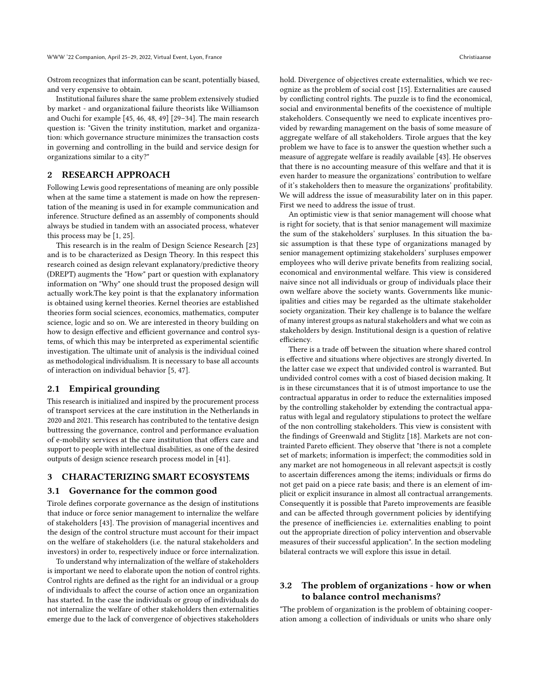Ostrom recognizes that information can be scant, potentially biased, and very expensive to obtain.

Institutional failures share the same problem extensively studied by market - and organizational failure theorists like Williamson and Ouchi for example [\[45,](#page-9-9) [46,](#page-9-10) [48,](#page-9-11) [49\]](#page-9-12) [\[29](#page-9-13)[–34\]](#page-9-14). The main research question is: "Given the trinity institution, market and organization: which governance structure minimizes the transaction costs in governing and controlling in the build and service design for organizations similar to a city?"

# 2 RESEARCH APPROACH

Following Lewis good representations of meaning are only possible when at the same time a statement is made on how the representation of the meaning is used in for example communication and inference. Structure defined as an assembly of components should always be studied in tandem with an associated process, whatever this process may be [\[1,](#page-8-1) [25\]](#page-9-15).

This research is in the realm of Design Science Research [\[23\]](#page-9-16) and is to be characterized as Design Theory. In this respect this research coined as design relevant explanatory/predictive theory (DREPT) augments the "How" part or question with explanatory information on "Why" one should trust the proposed design will actually work.The key point is that the explanatory information is obtained using kernel theories. Kernel theories are established theories form social sciences, economics, mathematics, computer science, logic and so on. We are interested in theory building on how to design effective and efficient governance and control systems, of which this may be interpreted as experimental scientific investigation. The ultimate unit of analysis is the individual coined as methodological individualism. It is necessary to base all accounts of interaction on individual behavior [\[5,](#page-8-2) [47\]](#page-9-17).

#### 2.1 Empirical grounding

This research is initialized and inspired by the procurement process of transport services at the care institution in the Netherlands in 2020 and 2021. This research has contributed to the tentative design buttressing the governance, control and performance evaluation of e-mobility services at the care institution that offers care and support to people with intellectual disabilities, as one of the desired outputs of design science research process model in [\[41\]](#page-9-18).

## 3 CHARACTERIZING SMART ECOSYSTEMS

#### 3.1 Governance for the common good

Tirole defines corporate governance as the design of institutions that induce or force senior management to internalize the welfare of stakeholders [\[43\]](#page-9-4). The provision of managerial incentives and the design of the control structure must account for their impact on the welfare of stakeholders (i.e. the natural stakeholders and investors) in order to, respectively induce or force internalization.

To understand why internalization of the welfare of stakeholders is important we need to elaborate upon the notion of control rights. Control rights are defined as the right for an individual or a group of individuals to affect the course of action once an organization has started. In the case the individuals or group of individuals do not internalize the welfare of other stakeholders then externalities emerge due to the lack of convergence of objectives stakeholders

hold. Divergence of objectives create externalities, which we recognize as the problem of social cost [\[15\]](#page-9-19). Externalities are caused by conflicting control rights. The puzzle is to find the economical, social and environmental benefits of the coexistence of multiple stakeholders. Consequently we need to explicate incentives provided by rewarding management on the basis of some measure of aggregate welfare of all stakeholders. Tirole argues that the key problem we have to face is to answer the question whether such a measure of aggregate welfare is readily available [\[43\]](#page-9-4). He observes that there is no accounting measure of this welfare and that it is even harder to measure the organizations' contribution to welfare of it's stakeholders then to measure the organizations' profitability. We will address the issue of measurability later on in this paper. First we need to address the issue of trust.

An optimistic view is that senior management will choose what is right for society, that is that senior management will maximize the sum of the stakeholders' surpluses. In this situation the basic assumption is that these type of organizations managed by senior management optimizing stakeholders' surpluses empower employees who will derive private benefits from realizing social, economical and environmental welfare. This view is considered naive since not all individuals or group of individuals place their own welfare above the society wants. Governments like municipalities and cities may be regarded as the ultimate stakeholder society organization. Their key challenge is to balance the welfare of many interest groups as natural stakeholders and what we coin as stakeholders by design. Institutional design is a question of relative efficiency.

There is a trade off between the situation where shared control is effective and situations where objectives are strongly diverted. In the latter case we expect that undivided control is warranted. But undivided control comes with a cost of biased decision making. It is in these circumstances that it is of utmost importance to use the contractual apparatus in order to reduce the externalities imposed by the controlling stakeholder by extending the contractual apparatus with legal and regulatory stipulations to protect the welfare of the non controlling stakeholders. This view is consistent with the findings of Greenwald and Stiglitz [\[18\]](#page-9-20). Markets are not contrainted Pareto efficient. They observe that "there is not a complete set of markets; information is imperfect; the commodities sold in any market are not homogeneous in all relevant aspects;it is costly to ascertain differences among the items; individuals or firms do not get paid on a piece rate basis; and there is an element of implicit or explicit insurance in almost all contractual arrangements. Consequently it is possible that Pareto improvements are feasible and can be affected through government policies by identifying the presence of inefficiencies i.e. externalities enabling to point out the appropriate direction of policy intervention and observable measures of their successful application". In the section modeling bilateral contracts we will explore this issue in detail.

# 3.2 The problem of organizations - how or when to balance control mechanisms?

"The problem of organization is the problem of obtaining cooperation among a collection of individuals or units who share only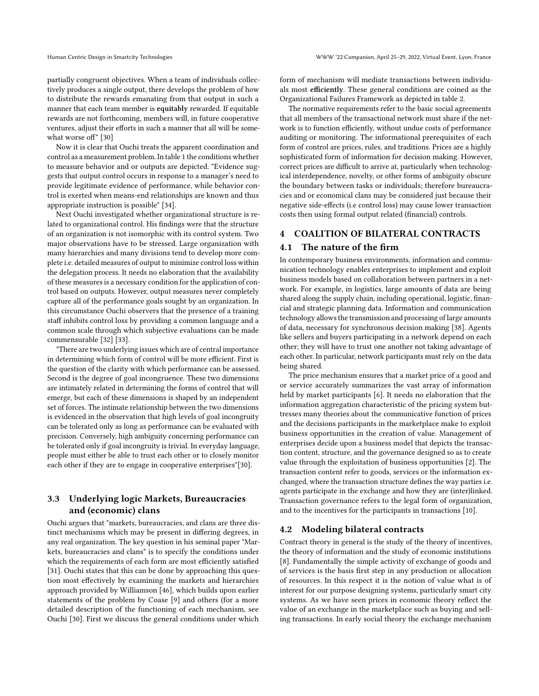partially congruent objectives. When a team of individuals collectively produces a single output, there develops the problem of how to distribute the rewards emanating from that output in such a manner that each team member is equitably rewarded. If equitable rewards are not forthcoming, members will, in future cooperative ventures, adjust their efforts in such a manner that all will be somewhat worse off" [\[30\]](#page-9-21)

Now it is clear that Ouchi treats the apparent coordination and control as a measurement problem. In table 1 the conditions whether to measure behavior and or outputs are depicted. "Evidence suggests that output control occurs in response to a manager's need to provide legitimate evidence of performance, while behavior control is exerted when means-end relationships are known and thus appropriate instruction is possible" [\[34\]](#page-9-14).

Next Ouchi investigated whether organizational structure is related to organizational control. His findings were that the structure of an organization is not isomorphic with its control system. Two major observations have to be stressed. Large organization with many hierarchies and many divisions tend to develop more complete i.e. detailed measures of output to minimize control loss within the delegation process. It needs no elaboration that the availability of these measures is a necessary condition for the application of control based on outputs. However, output measures never completely capture all of the performance goals sought by an organization. In this circumstance Ouchi observers that the presence of a training staff inhibits control loss by providing a common language and a common scale through which subjective evaluations can be made commensurable [\[32\]](#page-9-22) [\[33\]](#page-9-23).

"There are two underlying issues which are of central importance in determining which form of control will be more efficient. First is the question of the clarity with which performance can be assessed. Second is the degree of goal incongruence. These two dimensions are intimately related in determining the forms of control that will emerge, but each of these dimensions is shaped by an independent set of forces. The intimate relationship between the two dimensions is evidenced in the observation that high levels of goal incongruity can be tolerated only as long as performance can be evaluated with precision. Conversely, high ambiguity concerning performance can be tolerated only if goal incongruity is trivial. In everyday language, people must either be able to trust each other or to closely monitor each other if they are to engage in cooperative enterprises"[\[30\]](#page-9-21).

# 3.3 Underlying logic Markets, Bureaucracies and (economic) clans

Ouchi argues that "markets, bureaucracies, and clans are three distinct mechanisms which may be present in differing degrees, in any real organization. The key question in his seminal paper "Markets, bureaucracies and clans" is to specify the conditions under which the requirements of each form are most efficiently satisfied [\[31\]](#page-9-24). Ouchi states that this can be done by approaching this question most effectively by examining the markets and hierarchies approach provided by Williamson [\[46\]](#page-9-10), which builds upon earlier statements of the problem by Coase [\[9\]](#page-8-3) and others (for a more detailed description of the functioning of each mechanism, see Ouchi [\[30\]](#page-9-21). First we discuss the general conditions under which

form of mechanism will mediate transactions between individuals most efficiently. These general conditions are coined as the Organizational Failures Framework as depicted in table 2.

The normative requirements refer to the basic social agreements that all members of the transactional network must share if the network is to function efficiently, without undue costs of performance auditing or monitoring. The informational prerequisites of each form of control are prices, rules, and traditions. Prices are a highly sophisticated form of information for decision making. However, correct prices are difficult to arrive at, particularly when technological interdependence, novelty, or other forms of ambiguity obscure the boundary between tasks or individuals; therefore bureaucracies and or economical clans may be considered just because their negative side-effects (i.e control loss) may cause lower transaction costs then using formal output related (financial) controls.

# 4 COALITION OF BILATERAL CONTRACTS

#### 4.1 The nature of the firm

In contemporary business environments, information and communication technology enables enterprises to implement and exploit business models based on collaboration between partners in a network. For example, in logistics, large amounts of data are being shared along the supply chain, including operational, logistic, financial and strategic planning data. Information and communication technology allows the transmission and processing of large amounts of data, necessary for synchronous decision making [\[38\]](#page-9-25). Agents like sellers and buyers participating in a network depend on each other; they will have to trust one another not taking advantage of each other. In particular, network participants must rely on the data being shared.

The price mechanism ensures that a market price of a good and or service accurately summarizes the vast array of information held by market participants [\[6\]](#page-8-4). It needs no elaboration that the information aggregation characteristic of the pricing system buttresses many theories about the communicative function of prices and the decisions participants in the marketplace make to exploit business opportunities in the creation of value. Management of enterprises decide upon a business model that depicts the transaction content, structure, and the governance designed so as to create value through the exploitation of business opportunities [\[2\]](#page-8-5). The transaction content refer to goods, services or the information exchanged, where the transaction structure defines the way parties i.e. agents participate in the exchange and how they are (inter)linked. Transaction governance refers to the legal form of organization, and to the incentives for the participants in transactions [\[10\]](#page-8-6).

## 4.2 Modeling bilateral contracts

Contract theory in general is the study of the theory of incentives, the theory of information and the study of economic institutions [\[8\]](#page-8-7). Fundamentally the simple activity of exchange of goods and of services is the basis first step in any production or allocation of resources. In this respect it is the notion of value what is of interest for our purpose designing systems, particularly smart city systems. As we have seen prices in economic theory reflect the value of an exchange in the marketplace such as buying and selling transactions. In early social theory the exchange mechanism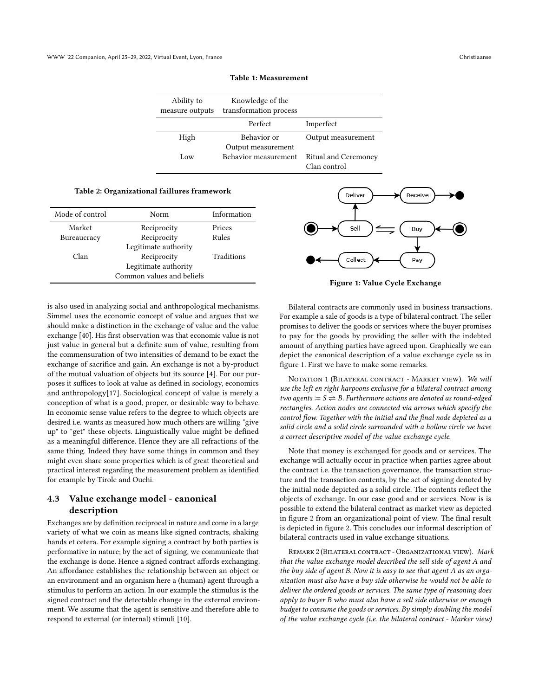| Ability to<br>measure outputs | Knowledge of the<br>transformation process |                                             |
|-------------------------------|--------------------------------------------|---------------------------------------------|
|                               | Perfect                                    | Imperfect                                   |
| High                          | <b>Behavior</b> or<br>Output measurement   | Output measurement                          |
| Low                           | <b>Behavior</b> measurement                | <b>Ritual and Ceremoney</b><br>Clan control |

Table 1: Measurement

#### Table 2: Organizational faillures framework

| Mode of control | Norm                      | Information |
|-----------------|---------------------------|-------------|
| Market          | Reciprocity               | Prices      |
| Bureaucracy     | Reciprocity               | Rules       |
|                 | Legitimate authority      |             |
| Clan            | Reciprocity               | Traditions  |
|                 | Legitimate authority      |             |
|                 | Common values and beliefs |             |

is also used in analyzing social and anthropological mechanisms. Simmel uses the economic concept of value and argues that we should make a distinction in the exchange of value and the value exchange [\[40\]](#page-9-26). His first observation was that economic value is not just value in general but a definite sum of value, resulting from the commensuration of two intensities of demand to be exact the exchange of sacrifice and gain. An exchange is not a by-product of the mutual valuation of objects but its source [\[4\]](#page-8-8). For our purposes it suffices to look at value as defined in sociology, economics and anthropology[\[17\]](#page-9-27). Sociological concept of value is merely a conception of what is a good, proper, or desirable way to behave. In economic sense value refers to the degree to which objects are desired i.e. wants as measured how much others are willing "give up" to "get" these objects. Linguistically value might be defined as a meaningful difference. Hence they are all refractions of the same thing. Indeed they have some things in common and they might even share some properties which is of great theoretical and practical interest regarding the measurement problem as identified for example by Tirole and Ouchi.

# 4.3 Value exchange model - canonical description

Exchanges are by definition reciprocal in nature and come in a large variety of what we coin as means like signed contracts, shaking hands et cetera. For example signing a contract by both parties is performative in nature; by the act of signing, we communicate that the exchange is done. Hence a signed contract affords exchanging. An affordance establishes the relationship between an object or an environment and an organism here a (human) agent through a stimulus to perform an action. In our example the stimulus is the signed contract and the detectable change in the external environment. We assume that the agent is sensitive and therefore able to respond to external (or internal) stimuli [\[10\]](#page-8-6).



Figure 1: Value Cycle Exchange

Bilateral contracts are commonly used in business transactions. For example a sale of goods is a type of bilateral contract. The seller promises to deliver the goods or services where the buyer promises to pay for the goods by providing the seller with the indebted amount of anything parties have agreed upon. Graphically we can depict the canonical description of a value exchange cycle as in figure 1. First we have to make some remarks.

NOTATION 1 (BILATERAL CONTRACT - MARKET VIEW). We will use the left en right harpoons exclusive for a bilateral contract among two agents  $\coloneqq$   $S \rightleftharpoons B$ . Furthermore actions are denoted as round-edged rectangles. Action nodes are connected via arrows which specify the control flow. Together with the initial and the final node depicted as a solid circle and a solid circle surrounded with a hollow circle we have a correct descriptive model of the value exchange cycle.

Note that money is exchanged for goods and or services. The exchange will actually occur in practice when parties agree about the contract i.e. the transaction governance, the transaction structure and the transaction contents, by the act of signing denoted by the initial node depicted as a solid circle. The contents reflect the objects of exchange. In our case good and or services. Now is is possible to extend the bilateral contract as market view as depicted in figure 2 from an organizational point of view. The final result is depicted in figure 2. This concludes our informal description of bilateral contracts used in value exchange situations.

Remark 2 (Bilateral contract - Organizational view). Mark that the value exchange model described the sell side of agent A and the buy side of agent B. Now it is easy to see that agent A as an organization must also have a buy side otherwise he would not be able to deliver the ordered goods or services. The same type of reasoning does apply to buyer B who must also have a sell side otherwise or enough budget to consume the goods or services. By simply doubling the model of the value exchange cycle (i.e. the bilateral contract - Marker view)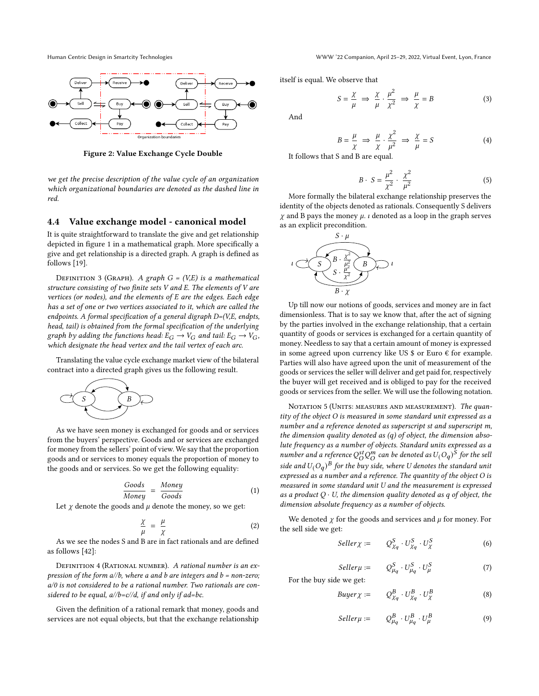Human Centric Design in Smartcity Technologies WWW '22 Companion, April 25–29, 2022, Virtual Event, Lyon, France



Figure 2: Value Exchange Cycle Double

we get the precise description of the value cycle of an organization which organizational boundaries are denoted as the dashed line in red.

#### 4.4 Value exchange model - canonical model

It is quite straightforward to translate the give and get relationship depicted in figure 1 in a mathematical graph. More specifically a give and get relationship is a directed graph. A graph is defined as follows [\[19\]](#page-9-28).

DEFINITION 3 (GRAPH). A graph  $G = (V,E)$  is a mathematical structure consisting of two finite sets V and E. The elements of V are vertices (or nodes), and the elements of E are the edges. Each edge has a set of one or two vertices associated to it, which are called the endpoints. A formal specification of a general digraph D=(V,E, endpts, head, tail) is obtained from the formal specification of the underlying graph by adding the functions head:  $E_G \to V_G$  and tail:  $E_G \to V_G$ , which designate the head vertex and the tail vertex of each arc.

Translating the value cycle exchange market view of the bilateral contract into a directed graph gives us the following result.



As we have seen money is exchanged for goods and or services from the buyers' perspective. Goods and or services are exchanged for money from the sellers' point of view. We say that the proportion goods and or services to money equals the proportion of money to the goods and or services. So we get the following equality:

$$
\frac{Goods}{Money} = \frac{Money}{Goods} \tag{1}
$$

Let  $\chi$  denote the goods and  $\mu$  denote the money, so we get:

$$
\frac{\chi}{\mu} = \frac{\mu}{\chi} \tag{2}
$$

As we see the nodes S and B are in fact rationals and are defined as follows [\[42\]](#page-9-29):

DEFINITION 4 (RATIONAL NUMBER). A rational number is an expression of the form  $a/b$ , where a and b are integers and  $b = non-zero$ ; a/0 is not considered to be a rational number. Two rationals are considered to be equal,  $a/\sqrt{b} = c/\sqrt{d}$ , if and only if ad=bc.

Given the definition of a rational remark that money, goods and services are not equal objects, but that the exchange relationship itself is equal. We observe that

$$
S = \frac{\chi}{\mu} \implies \frac{\chi}{\mu} \cdot \frac{\mu^2}{\chi^2} \implies \frac{\mu}{\chi} = B \tag{3}
$$

And

$$
B = \frac{\mu}{\chi} \implies \frac{\mu}{\chi} \cdot \frac{\chi^2}{\mu^2} \implies \frac{\chi}{\mu} = S \tag{4}
$$

It follows that S and B are equal.

$$
B \cdot S = \frac{\mu^2}{\chi^2} \cdot \frac{\chi^2}{\mu^2} \tag{5}
$$

More formally the bilateral exchange relationship preserves the identity of the objects denoted as rationals. Consequently S delivers  $\chi$  and B pays the money  $\mu$ . *i* denoted as a loop in the graph serves as an explicit precondition.



Up till now our notions of goods, services and money are in fact dimensionless. That is to say we know that, after the act of signing by the parties involved in the exchange relationship, that a certain quantity of goods or services is exchanged for a certain quantity of money. Needless to say that a certain amount of money is expressed in some agreed upon currency like US  $$$  or Euro  $$\epsilon$$  for example. Parties will also have agreed upon the unit of measurement of the goods or services the seller will deliver and get paid for, respectively the buyer will get received and is obliged to pay for the received goods or services from the seller. We will use the following notation.

NOTATION 5 (UNITS: MEASURES AND MEASUREMENT). The quantity of the object O is measured in some standard unit expressed as a number and a reference denoted as superscript st and superscript m, the dimension quality denoted as  $(q)$  of object, the dimension absolute frequency as a number of objects. Standard units expressed as a number and a reference  $\mathcal{Q}_{O}^{st} \mathcal{Q}_{O}^{m}$  can be denoted as  $U(O_q)^{\hat{S}}$  for the sell side and  $U(O_q)^{\overline{B}}$  for the buy side, where U denotes the standard unit expressed as a number and a reference. The quantity of the object O is measured in some standard unit U and the measurement is expressed as a product  $Q \cdot U$ , the dimension quality denoted as q of object, the dimension absolute frequency as a number of objects.

We denoted  $\gamma$  for the goods and services and  $\mu$  for money. For the sell side we get:

$$
Seller \chi := \tQ_{\chi_q}^S \tU_{\chi_q}^S \tU_{\chi}^S \t(6)
$$

$$
Seller \mu := Q_{\mu_q}^S \cdot U_{\mu_q}^S \cdot U_{\mu}^S \tag{7}
$$

For the buy side we get:

$$
Buyer \chi := Q_{\chi_q}^B \cdot U_{\chi_q}^B \cdot U_{\chi}^B \tag{8}
$$

$$
Seller\mu := \quad Q_{\mu}^{B} \cdot U_{\mu}^{B} \cdot U_{\mu}^{B} \tag{9}
$$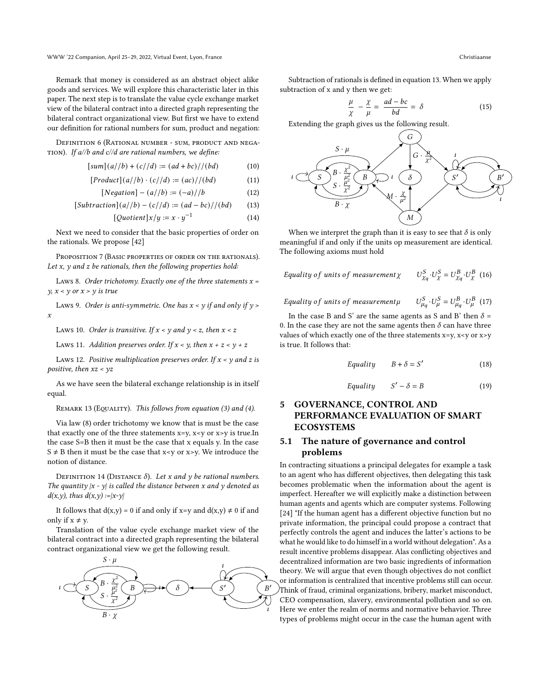WWW '22 Companion, April 25–29, 2022, Virtual Event, Lyon, France Christiaanse

Remark that money is considered as an abstract object alike goods and services. We will explore this characteristic later in this paper. The next step is to translate the value cycle exchange market view of the bilateral contract into a directed graph representing the bilateral contract organizational view. But first we have to extend our definition for rational numbers for sum, product and negation:

Definition 6 (Rational number - sum, product and nega-TION). If  $a/b$  and  $c/d$  are rational numbers, we define:

$$
[sum](a//b) + (c//d) := (ad+bc) // (bd)
$$
 (10)

$$
[Product](a//b) \cdot (c//d) := (ac) // (bd)
$$
 (11)

$$
[Negation] - (a//b) := (-a) //b \tag{12}
$$

$$
[Subtraction](a//b) - (c//d) := (ad - bc) // (bd)
$$
 (13)

$$
[Quotient]x/y := x \cdot y^{-1}
$$
 (14)

Next we need to consider that the basic properties of order on the rationals. We propose [\[42\]](#page-9-29)

PROPOSITION 7 (BASIC PROPERTIES OF ORDER ON THE RATIONALS). Let  $x$ ,  $y$  and  $z$  be rationals, then the following properties hold:

LAWS 8. Order trichotomy. Exactly one of the three statements  $x =$  $y, x < y$  or  $x > y$  is true

Laws 9. Order is anti-symmetric. One has  $x < y$  if and only if  $y >$  $\mathbf{x}$ 

Laws 10. Order is transitive. If  $x < y$  and  $y < z$ , then  $x < z$ 

Laws 11. Addition preserves order. If  $x < y$ , then  $x + z < y + z$ 

Laws 12. Positive multiplication preserves order. If  $x \le y$  and z is positive, then  $xz < yz$ 

As we have seen the bilateral exchange relationship is in itself equal.

#### REMARK 13 (EQUALITY). This follows from equation (3) and (4).

Via law (8) order trichotomy we know that is must be the case that exactly one of the three statements  $x=y$ ,  $x < y$  or  $x>y$  is true. In the case S=B then it must be the case that x equals y. In the case  $S \neq B$  then it must be the case that x<y or x>y. We introduce the notion of distance.

DEFINITION 14 (DISTANCE  $\delta$ ). Let x and y be rational numbers. The quantity  $|x - y|$  is called the distance between x and y denoted as  $d(x,y)$ , thus  $d(x,y) := |x-y|$ 

It follows that  $d(x,y) = 0$  if and only if x=y and  $d(x,y) \neq 0$  if and only if  $x \neq y$ .

Translation of the value cycle exchange market view of the bilateral contract into a directed graph representing the bilateral contract organizational view we get the following result.



Subtraction of rationals is defined in equation 13. When we apply subtraction of x and y then we get:

$$
\frac{\mu}{\chi} - \frac{\chi}{\mu} = \frac{ad - bc}{bd} = \delta \tag{15}
$$

Extending the graph gives us the following result.



When we interpret the graph than it is easy to see that  $\delta$  is only meaningful if and only if the units op measurement are identical. The following axioms must hold

Equality of units of measurement 
$$
\chi
$$
  $U_{\chi_q}^S \cdot U_{\chi}^S = U_{\chi_q}^B \cdot U_{\chi}^B$  (16)

Equality of units of measurementµ  $U_{\mu a}^{S} \cdot U_{\mu}^{S} = U_{\mu a}^{B} \cdot U_{\mu}^{B}$  (17)

In the case B and S' are the same agents as S and B' then  $\delta$  = 0. In the case they are not the same agents then  $\delta$  can have three values of which exactly one of the three statements  $x=y$ ,  $x \leq y$  or  $x \geq y$ is true. It follows that:

$$
Equality \t B + \delta = S' \t (18)
$$

$$
Equality \tS' - \delta = B \t(19)
$$

# 5 GOVERNANCE, CONTROL AND PERFORMANCE EVALUATION OF SMART **ECOSYSTEMS**

# 5.1 The nature of governance and control problems

In contracting situations a principal delegates for example a task to an agent who has different objectives, then delegating this task becomes problematic when the information about the agent is imperfect. Hereafter we will explicitly make a distinction between human agents and agents which are computer systems. Following [\[24\]](#page-9-30) "If the human agent has a different objective function but no private information, the principal could propose a contract that perfectly controls the agent and induces the latter's actions to be what he would like to do himself in a world without delegation". As a result incentive problems disappear. Alas conflicting objectives and decentralized information are two basic ingredients of information theory. We will argue that even though objectives do not conflict or information is centralized that incentive problems still can occur. Think of fraud, criminal organizations, bribery, market misconduct,  $\lambda$ CEO compensation, slavery, environmental pollution and so on. Here we enter the realm of norms and normative behavior. Three types of problems might occur in the case the human agent with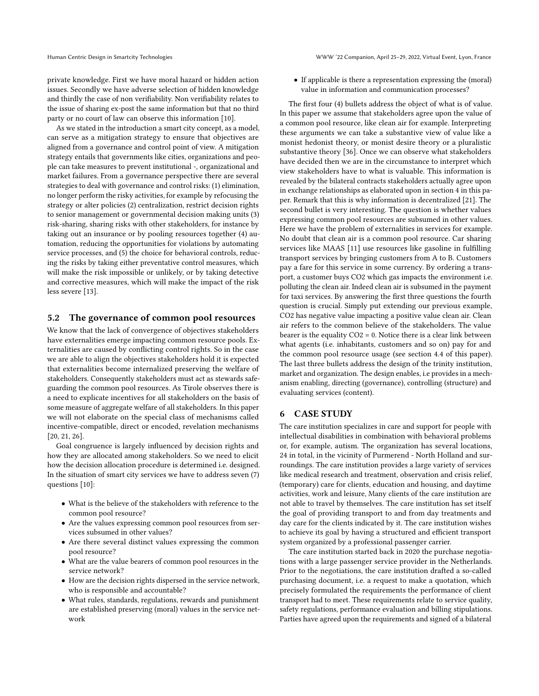private knowledge. First we have moral hazard or hidden action issues. Secondly we have adverse selection of hidden knowledge and thirdly the case of non verifiability. Non verifiability relates to the issue of sharing ex-post the same information but that no third party or no court of law can observe this information [\[10\]](#page-8-6).

As we stated in the introduction a smart city concept, as a model, can serve as a mitigation strategy to ensure that objectives are aligned from a governance and control point of view. A mitigation strategy entails that governments like cities, organizations and people can take measures to prevent institutional -, organizational and market failures. From a governance perspective there are several strategies to deal with governance and control risks: (1) elimination, no longer perform the risky activities, for example by refocusing the strategy or alter policies (2) centralization, restrict decision rights to senior management or governmental decision making units (3) risk-sharing, sharing risks with other stakeholders, for instance by taking out an insurance or by pooling resources together (4) automation, reducing the opportunities for violations by automating service processes, and (5) the choice for behavioral controls, reducing the risks by taking either preventative control measures, which will make the risk impossible or unlikely, or by taking detective and corrective measures, which will make the impact of the risk less severe [\[13\]](#page-9-31).

## 5.2 The governance of common pool resources

We know that the lack of convergence of objectives stakeholders have externalities emerge impacting common resource pools. Externalities are caused by conflicting control rights. So in the case we are able to align the objectives stakeholders hold it is expected that externalities become internalized preserving the welfare of stakeholders. Consequently stakeholders must act as stewards safeguarding the common pool resources. As Tirole observes there is a need to explicate incentives for all stakeholders on the basis of some measure of aggregate welfare of all stakeholders. In this paper we will not elaborate on the special class of mechanisms called incentive-compatible, direct or encoded, revelation mechanisms [\[20,](#page-9-32) [21,](#page-9-33) [26\]](#page-9-34).

Goal congruence is largely influenced by decision rights and how they are allocated among stakeholders. So we need to elicit how the decision allocation procedure is determined i.e. designed. In the situation of smart city services we have to address seven (7) questions [\[10\]](#page-8-6):

- What is the believe of the stakeholders with reference to the common pool resource?
- Are the values expressing common pool resources from services subsumed in other values?
- Are there several distinct values expressing the common pool resource?
- What are the value bearers of common pool resources in the service network?
- How are the decision rights dispersed in the service network, who is responsible and accountable?
- What rules, standards, regulations, rewards and punishment are established preserving (moral) values in the service network

• If applicable is there a representation expressing the (moral) value in information and communication processes?

The first four (4) bullets address the object of what is of value. In this paper we assume that stakeholders agree upon the value of a common pool resource, like clean air for example. Interpreting these arguments we can take a substantive view of value like a monist hedonist theory, or monist desire theory or a pluralistic substantive theory [\[36\]](#page-9-35). Once we can observe what stakeholders have decided then we are in the circumstance to interpret which view stakeholders have to what is valuable. This information is revealed by the bilateral contracts stakeholders actually agree upon in exchange relationships as elaborated upon in section 4 in this paper. Remark that this is why information is decentralized [\[21\]](#page-9-33). The second bullet is very interesting. The question is whether values expressing common pool resources are subsumed in other values. Here we have the problem of externalities in services for example. No doubt that clean air is a common pool resource. Car sharing services like MAAS [\[11\]](#page-8-9) use resources like gasoline in fulfilling transport services by bringing customers from A to B. Customers pay a fare for this service in some currency. By ordering a transport, a customer buys CO2 which gas impacts the environment i.e. polluting the clean air. Indeed clean air is subsumed in the payment for taxi services. By answering the first three questions the fourth question is crucial. Simply put extending our previous example, CO2 has negative value impacting a positive value clean air. Clean air refers to the common believe of the stakeholders. The value bearer is the equality  $CO2 = 0$ . Notice there is a clear link between what agents (i.e. inhabitants, customers and so on) pay for and the common pool resource usage (see section 4.4 of this paper). The last three bullets address the design of the trinity institution, market and organization. The design enables, i.e provides in a mechanism enabling, directing (governance), controlling (structure) and evaluating services (content).

## 6 CASE STUDY

The care institution specializes in care and support for people with intellectual disabilities in combination with behavioral problems or, for example, autism. The organization has several locations, 24 in total, in the vicinity of Purmerend - North Holland and surroundings. The care institution provides a large variety of services like medical research and treatment, observation and crisis relief, (temporary) care for clients, education and housing, and daytime activities, work and leisure, Many clients of the care institution are not able to travel by themselves. The care institution has set itself the goal of providing transport to and from day treatments and day care for the clients indicated by it. The care institution wishes to achieve its goal by having a structured and efficient transport system organized by a professional passenger carrier.

The care institution started back in 2020 the purchase negotiations with a large passenger service provider in the Netherlands. Prior to the negotiations, the care institution drafted a so-called purchasing document, i.e. a request to make a quotation, which precisely formulated the requirements the performance of client transport had to meet. These requirements relate to service quality, safety regulations, performance evaluation and billing stipulations. Parties have agreed upon the requirements and signed of a bilateral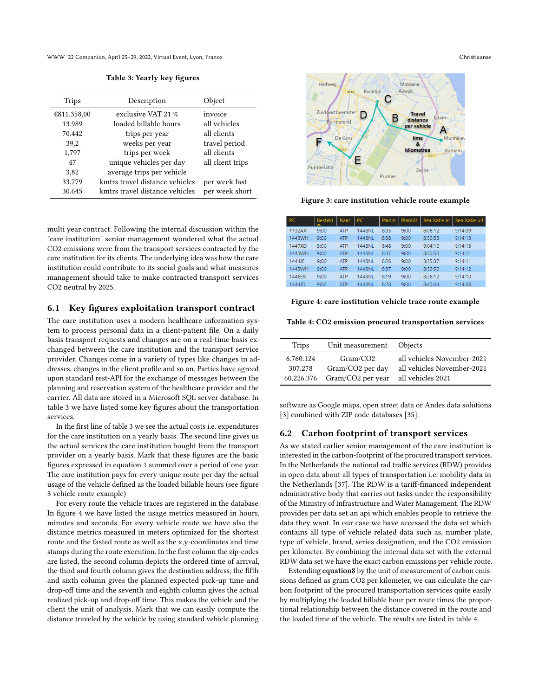WWW '22 Companion, April 25–29, 2022, Virtual Event, Lyon, France Christiaanse

Table 3: Yearly key figures

| <b>Trips</b> | Description                    | Object           |
|--------------|--------------------------------|------------------|
| €811.358,00  | exclusive VAT 21 %             | invoice          |
| 13.989       | loaded billable hours          | all vehicles     |
| 70.442       | trips per year                 | all clients      |
| 39,2         | weeks per year                 | travel period    |
| 1,797        | trips per week                 | all clients      |
| 47           | unique vehicles per day        | all client trips |
| 3,82         | average trips per vehicle      |                  |
| 33.779       | kmtrs travel distance vehicles | per week fast    |
| 30.645       | kmtrs travel distance vehicles | per week short   |

multi year contract. Following the internal discussion within the "care institution" senior management wondered what the actual CO2 emissions were from the transport services contracted by the care institution for its clients. The underlying idea was how the care institution could contribute to its social goals and what measures management should take to make contracted transport services CO2 neutral by 2025.

## 6.1 Key figures exploitation transport contract

The care institution uses a modern healthcare information system to process personal data in a client-patient file. On a daily basis transport requests and changes are on a real-time basis exchanged between the care institution and the transport service provider. Changes come in a variety of types like changes in addresses, changes in the client profile and so on. Parties have agreed upon standard rest-API for the exchange of messages between the planning and reservation system of the healthcare provider and the carrier. All data are stored in a Microsoft SQL server database. In table 3 we have listed some key figures about the transportation services.

In the first line of table 3 we see the actual costs i.e. expenditures for the care institution on a yearly basis. The second line gives us the actual services the care institution bought from the transport provider on a yearly basis. Mark that these figures are the basic figures expressed in equation 1 summed over a period of one year. The care institution pays for every unique route per day the actual usage of the vehicle defined as the loaded billable hours (see figure 3 vehicle route example)

For every route the vehicle traces are registered in the database. In figure 4 we have listed the usage metrics measured in hours, minutes and seconds. For every vehicle route we have also the distance metrics measured in meters optimized for the shortest route and the fasted route as well as the x,y-coordinates and time stamps during the route execution. In the first column the zip-codes are listed, the second column depicts the ordered time of arrival, the third and fourth column gives the destination address, the fifth and sixth column gives the planned expected pick-up time and drop-off time and the seventh and eighth column gives the actual realized pick-up and drop-off time. This makes the vehicle and the client the unit of analysis. Mark that we can easily compute the distance traveled by the vehicle by using standard vehicle planning



Figure 3: care institution vehicle route example

| l PC    | <b>Besteld</b><br>▲ | Naar       | PC.    | Planin | PlanUit | Realisatie In | Realisatie uit |
|---------|---------------------|------------|--------|--------|---------|---------------|----------------|
| 1132AX  | 9:00                | <b>ATP</b> | 1448NL | 8:05   | 9:00    | 8:06:12       | 9:14:09        |
| 1443WH  | 9:00                | <b>ATP</b> | 1448NL | 8:38   | 9:00    | 8:50:53       | 9:14:13        |
| 1447XD  | 9:00                | <b>ATP</b> | 1448NL | 8:48   | 9:00    | 9:04:10       | 9:14:13        |
| 1443WH  | 9:00                | <b>ATP</b> | 1448NL | 8:37   | 9:00    | 8:50:50       | 9:14:11        |
| 1444 JE | 9:00                | <b>ATP</b> | 1448NL | 8:26   | 9:00    | 8:35:37       | 9:14:11        |
| 1443WH  | 9:00                | <b>ATP</b> | 1448NL | 8:37   | 9:00    | 8:50:50       | 9:14:12        |
| 1446FN  | 9:00                | <b>ATP</b> | 1448NL | 8:19   | 9:00    | 8:26:12       | 9:14:10        |
| 1444JD  | 9:00                | <b>ATP</b> | 1448NL | 8:28   | 9:00    | 8:40:44       | 9:14:08        |

Figure 4: care institution vehicle trace route example

Table 4: CO2 emission procured transportation services

| Trips      | Unit measurement Objects |                            |
|------------|--------------------------|----------------------------|
| 6.760.124  | Gram/CO2                 | all vehicles November-2021 |
| 307.278    | Gram/CO2 per day         | all vehicles November-2021 |
| 60.226.376 | Gram/CO2 per year        | all vehicles 2021          |

software as Google maps, open street data or Andes data solutions [\[3\]](#page-8-10) combined with ZIP code databases [\[35\]](#page-9-36).

#### 6.2 Carbon footprint of transport services

As we stated earlier senior management of the care institution is interested in the carbon-footprint of the procured transport services. In the Netherlands the national rad traffic services (RDW) provides in open data about all types of transportation i.e. mobility data in the Netherlands [\[37\]](#page-9-37). The RDW is a tariff-financed independent administrative body that carries out tasks under the responsibility of the Ministry of Infrastructure and Water Management. The RDW provides per data set an api which enables people to retrieve the data they want. In our case we have accessed the data set which contains all type of vehicle related data such as, number plate, type of vehicle, brand, series designation, and the CO2 emission per kilometer. By combining the internal data set with the external RDW data set we have the exact carbon emissions per vehicle route.

Extending equation8 by the unit of measurement of carbon emissions defined as gram CO2 per kilometer, we can calculate the carbon footprint of the procured transportation services quite easily by multiplying the loaded billable hour per route times the proportional relationship between the distance covered in the route and the loaded time of the vehicle. The results are listed in table 4.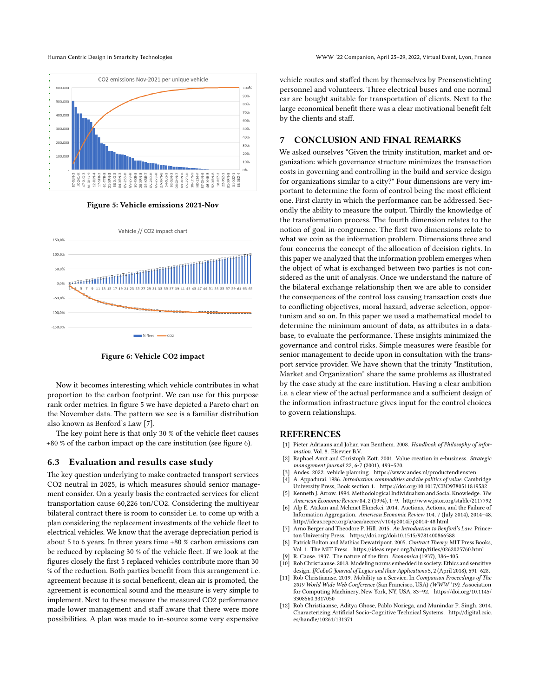

Figure 5: Vehicle emissions 2021-Nov



Figure 6: Vehicle CO2 impact

Now it becomes interesting which vehicle contributes in what proportion to the carbon footprint. We can use for this purpose rank order metrics. In figure 5 we have depicted a Pareto chart on the November data. The pattern we see is a familiar distribution also known as Benford's Law [\[7\]](#page-8-11).

The key point here is that only 30 % of the vehicle fleet causes +80 % of the carbon impact op the care institution (see figure 6).

#### 6.3 Evaluation and results case study

The key question underlying to make contracted transport services CO2 neutral in 2025, is which measures should senior management consider. On a yearly basis the contracted services for client transportation cause 60,226 ton/CO2. Considering the multiyear bilateral contract there is room to consider i.e. to come up with a plan considering the replacement investments of the vehicle fleet to electrical vehicles. We know that the average depreciation period is about 5 to 6 years. In three years time +80 % carbon emissions can be reduced by replacing 30 % of the vehicle fleet. If we look at the figures closely the first 5 replaced vehicles contribute more than 30 % of the reduction. Both parties benefit from this arrangement i.e. agreement because it is social beneficent, clean air is promoted, the agreement is economical sound and the measure is very simple to implement. Next to these measure the measured CO2 performance made lower management and staff aware that there were more possibilities. A plan was made to in-source some very expensive

vehicle routes and staffed them by themselves by Prensenstichting personnel and volunteers. Three electrical buses and one normal car are bought suitable for transportation of clients. Next to the large economical benefit there was a clear motivational benefit felt by the clients and staff.

# 7 CONCLUSION AND FINAL REMARKS

We asked ourselves "Given the trinity institution, market and organization: which governance structure minimizes the transaction costs in governing and controlling in the build and service design for organizations similar to a city?" Four dimensions are very important to determine the form of control being the most efficient one. First clarity in which the performance can be addressed. Secondly the ability to measure the output. Thirdly the knowledge of the transformation process. The fourth dimension relates to the notion of goal in-congruence. The first two dimensions relate to what we coin as the information problem. Dimensions three and four concerns the concept of the allocation of decision rights. In this paper we analyzed that the information problem emerges when the object of what is exchanged between two parties is not considered as the unit of analysis. Once we understand the nature of the bilateral exchange relationship then we are able to consider the consequences of the control loss causing transaction costs due to conflicting objectives, moral hazard, adverse selection, opportunism and so on. In this paper we used a mathematical model to determine the minimum amount of data, as attributes in a database, to evaluate the performance. These insights minimized the governance and control risks. Simple measures were feasible for senior management to decide upon in consultation with the transport service provider. We have shown that the trinity "Institution, Market and Organization" share the same problems as illustrated by the case study at the care institution. Having a clear ambition i.e. a clear view of the actual performance and a sufficient design of the information infrastructure gives input for the control choices to govern relationships.

#### **REFERENCES**

- <span id="page-8-1"></span>[1] Pieter Adriaans and Johan van Benthem. 2008. Handbook of Philosophy of information. Vol. 8. Elsevier B.V.
- <span id="page-8-5"></span>[2] Raphael Amit and Christoph Zott. 2001. Value creation in e-business. Strategic management journal 22, 6-7 (2001), 493–520.
	- Andes. 2022. vehicle planning.<https://www.andes.nl/productendiensten>
- <span id="page-8-10"></span><span id="page-8-8"></span>[4] A. Appadurai. 1986. Introduction: commodities and the politics of value. Cambridge University Press, Book section 1.<https://doi.org/10.1017/CBO9780511819582>
- <span id="page-8-2"></span>Kenneth J. Arrow. 1994. Methodological Individualism and Social Knowledge. The American Economic Review 84, 2 (1994), 1–9.<http://www.jstor.org/stable/2117792>
- <span id="page-8-4"></span>Alp E. Atakan and Mehmet Ekmekci. 2014. Auctions, Actions, and the Failure of Information Aggregation. American Economic Review 104, 7 (July 2014), 2014–48. <http://ideas.repec.org/a/aea/aecrev/v104y2014i7p2014-48.html>
- <span id="page-8-11"></span>Arno Berger and Theodore P. Hill. 2015. An Introduction to Benford's Law. Princeton University Press.<https://doi.org/doi:10.1515/9781400866588>
- <span id="page-8-7"></span>Patrick Bolton and Mathias Dewatripont. 2005. Contract Theory. MIT Press Books, Vol. 1. The MIT Press.<https://ideas.repec.org/b/mtp/titles/0262025760.html>
- <span id="page-8-3"></span>R. Caose. 1937. The nature of the firm. Economica (1937), 386-405.
- <span id="page-8-6"></span>Rob Christiaanse. 2018. Modeling norms embedded in society: Ethics and sensitive design. IfCoLoG Journal of Logics and their Applications 5, 2 (April 2018), 591–628.
- <span id="page-8-9"></span>[11] Rob Christiaanse. 2019. Mobility as a Service. In Companion Proceedings of The 2019 World Wide Web Conference (San Francisco, USA) (WWW '19). Association for Computing Machinery, New York, NY, USA, 83–92. [https://doi.org/10.1145/](https://doi.org/10.1145/3308560.3317050) [3308560.3317050](https://doi.org/10.1145/3308560.3317050)
- <span id="page-8-0"></span>[12] Rob Christiaanse, Aditya Ghose, Pablo Noriega, and Munindar P. Singh. 2014. Characterizing Artificial Socio-Cognitive Technical Systems. [http://digital.csic.](http://digital.csic.es/handle/10261/131371) [es/handle/10261/131371](http://digital.csic.es/handle/10261/131371)